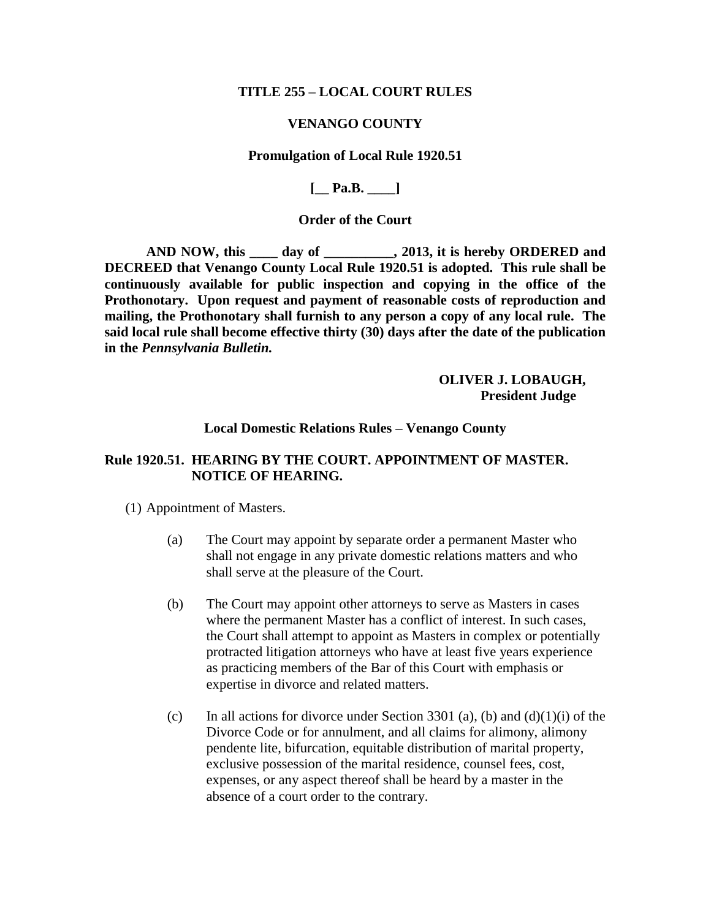### **TITLE 255 – LOCAL COURT RULES**

#### **VENANGO COUNTY**

#### **Promulgation of Local Rule 1920.51**

**[\_\_ Pa.B. \_\_\_\_]**

## **Order of the Court**

**AND NOW, this \_\_\_\_ day of \_\_\_\_\_\_\_\_\_\_, 2013, it is hereby ORDERED and DECREED that Venango County Local Rule 1920.51 is adopted. This rule shall be continuously available for public inspection and copying in the office of the Prothonotary. Upon request and payment of reasonable costs of reproduction and mailing, the Prothonotary shall furnish to any person a copy of any local rule. The said local rule shall become effective thirty (30) days after the date of the publication in the** *Pennsylvania Bulletin.*

> **OLIVER J. LOBAUGH, President Judge**

### **Local Domestic Relations Rules – Venango County**

# **Rule 1920.51. HEARING BY THE COURT. APPOINTMENT OF MASTER. NOTICE OF HEARING.**

(1) Appointment of Masters.

- (a) The Court may appoint by separate order a permanent Master who shall not engage in any private domestic relations matters and who shall serve at the pleasure of the Court.
- (b) The Court may appoint other attorneys to serve as Masters in cases where the permanent Master has a conflict of interest. In such cases, the Court shall attempt to appoint as Masters in complex or potentially protracted litigation attorneys who have at least five years experience as practicing members of the Bar of this Court with emphasis or expertise in divorce and related matters.
- (c) In all actions for divorce under Section 3301 (a), (b) and  $(d)(1)(i)$  of the Divorce Code or for annulment, and all claims for alimony, alimony pendente lite, bifurcation, equitable distribution of marital property, exclusive possession of the marital residence, counsel fees, cost, expenses, or any aspect thereof shall be heard by a master in the absence of a court order to the contrary.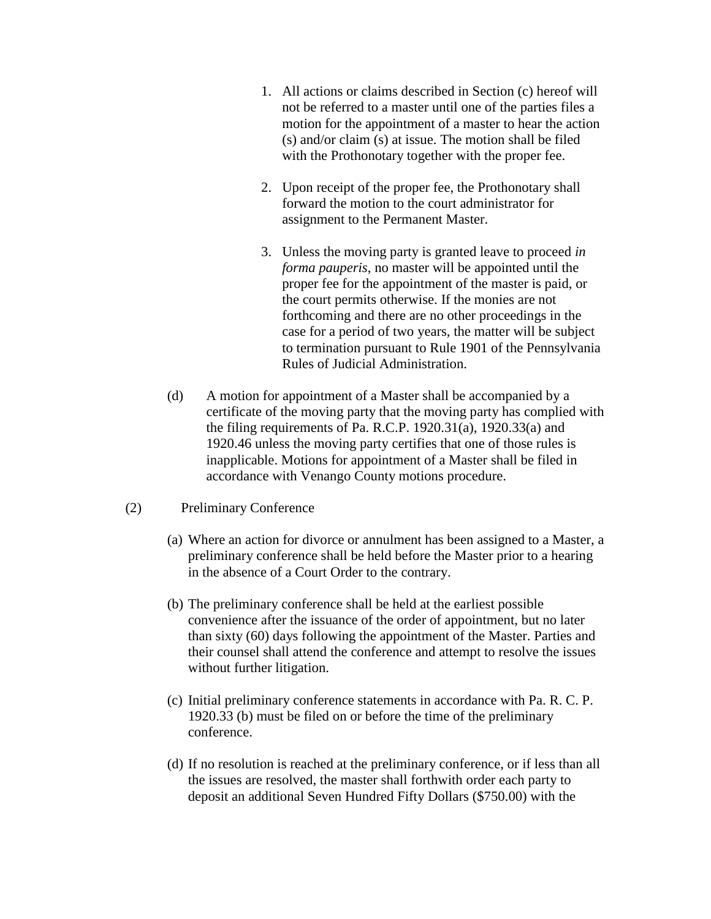- 1. All actions or claims described in Section (c) hereof will not be referred to a master until one of the parties files a motion for the appointment of a master to hear the action (s) and/or claim (s) at issue. The motion shall be filed with the Prothonotary together with the proper fee.
- 2. Upon receipt of the proper fee, the Prothonotary shall forward the motion to the court administrator for assignment to the Permanent Master.
- 3. Unless the moving party is granted leave to proceed *in forma pauperis*, no master will be appointed until the proper fee for the appointment of the master is paid, or the court permits otherwise. If the monies are not forthcoming and there are no other proceedings in the case for a period of two years, the matter will be subject to termination pursuant to Rule 1901 of the Pennsylvania Rules of Judicial Administration.
- (d) A motion for appointment of a Master shall be accompanied by a certificate of the moving party that the moving party has complied with the filing requirements of Pa. R.C.P. 1920.31(a), 1920.33(a) and 1920.46 unless the moving party certifies that one of those rules is inapplicable. Motions for appointment of a Master shall be filed in accordance with Venango County motions procedure.

### (2) Preliminary Conference

- (a) Where an action for divorce or annulment has been assigned to a Master, a preliminary conference shall be held before the Master prior to a hearing in the absence of a Court Order to the contrary.
- (b) The preliminary conference shall be held at the earliest possible convenience after the issuance of the order of appointment, but no later than sixty (60) days following the appointment of the Master. Parties and their counsel shall attend the conference and attempt to resolve the issues without further litigation.
- (c) Initial preliminary conference statements in accordance with Pa. R. C. P. 1920.33 (b) must be filed on or before the time of the preliminary conference.
- (d) If no resolution is reached at the preliminary conference, or if less than all the issues are resolved, the master shall forthwith order each party to deposit an additional Seven Hundred Fifty Dollars (\$750.00) with the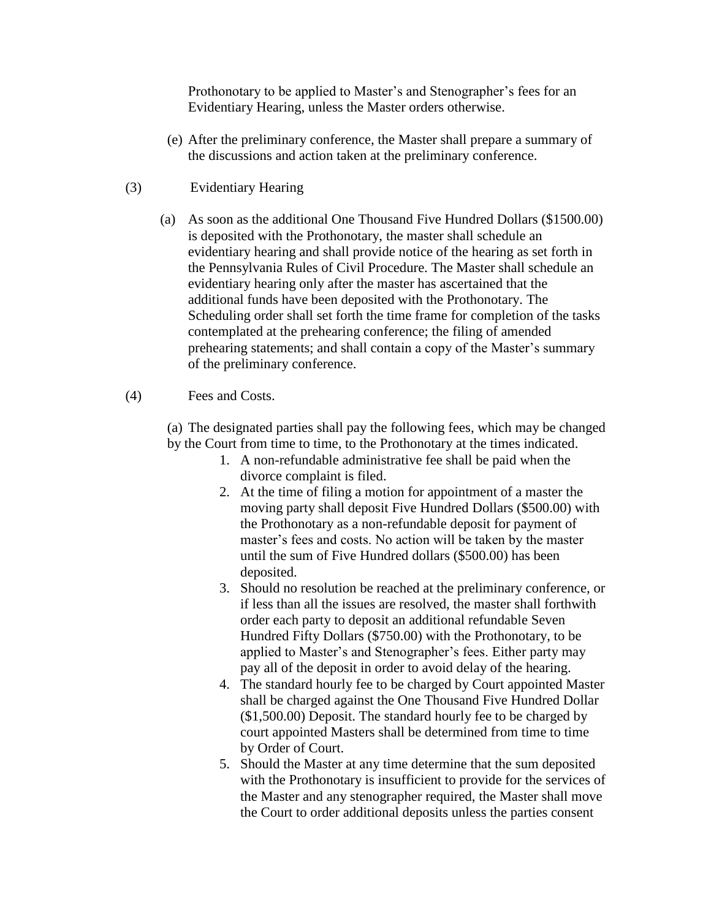Prothonotary to be applied to Master's and Stenographer's fees for an Evidentiary Hearing, unless the Master orders otherwise.

- (e) After the preliminary conference, the Master shall prepare a summary of the discussions and action taken at the preliminary conference.
- (3) Evidentiary Hearing
	- (a) As soon as the additional One Thousand Five Hundred Dollars (\$1500.00) is deposited with the Prothonotary, the master shall schedule an evidentiary hearing and shall provide notice of the hearing as set forth in the Pennsylvania Rules of Civil Procedure. The Master shall schedule an evidentiary hearing only after the master has ascertained that the additional funds have been deposited with the Prothonotary. The Scheduling order shall set forth the time frame for completion of the tasks contemplated at the prehearing conference; the filing of amended prehearing statements; and shall contain a copy of the Master's summary of the preliminary conference.

# (4) Fees and Costs.

(a) The designated parties shall pay the following fees, which may be changed by the Court from time to time, to the Prothonotary at the times indicated.

- 1. A non-refundable administrative fee shall be paid when the divorce complaint is filed.
- 2. At the time of filing a motion for appointment of a master the moving party shall deposit Five Hundred Dollars (\$500.00) with the Prothonotary as a non-refundable deposit for payment of master's fees and costs. No action will be taken by the master until the sum of Five Hundred dollars (\$500.00) has been deposited.
- 3. Should no resolution be reached at the preliminary conference, or if less than all the issues are resolved, the master shall forthwith order each party to deposit an additional refundable Seven Hundred Fifty Dollars (\$750.00) with the Prothonotary, to be applied to Master's and Stenographer's fees. Either party may pay all of the deposit in order to avoid delay of the hearing.
- 4. The standard hourly fee to be charged by Court appointed Master shall be charged against the One Thousand Five Hundred Dollar (\$1,500.00) Deposit. The standard hourly fee to be charged by court appointed Masters shall be determined from time to time by Order of Court.
- 5. Should the Master at any time determine that the sum deposited with the Prothonotary is insufficient to provide for the services of the Master and any stenographer required, the Master shall move the Court to order additional deposits unless the parties consent